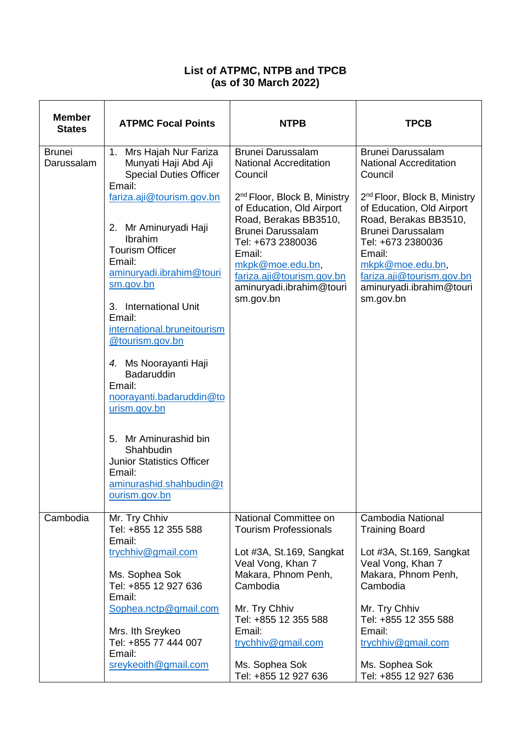## **List of ATPMC, NTPB and TPCB (as of 30 March 2022)**

| <b>Member</b><br><b>States</b> | <b>ATPMC Focal Points</b>                                                                                                                                                                                                                                                                                                                                                                                                                                  | <b>NTPB</b>                                                                                                                                                                                                                                                                                                                 | <b>TPCB</b>                                                                                                                                                                                                                                                                                                                 |
|--------------------------------|------------------------------------------------------------------------------------------------------------------------------------------------------------------------------------------------------------------------------------------------------------------------------------------------------------------------------------------------------------------------------------------------------------------------------------------------------------|-----------------------------------------------------------------------------------------------------------------------------------------------------------------------------------------------------------------------------------------------------------------------------------------------------------------------------|-----------------------------------------------------------------------------------------------------------------------------------------------------------------------------------------------------------------------------------------------------------------------------------------------------------------------------|
| <b>Brunei</b><br>Darussalam    | 1. Mrs Hajah Nur Fariza<br>Munyati Haji Abd Aji<br><b>Special Duties Officer</b><br>Email:<br>fariza.aji@tourism.gov.bn<br>2. Mr Aminuryadi Haji<br><b>Ibrahim</b><br><b>Tourism Officer</b><br>Email:<br>aminuryadi.ibrahim@touri<br>sm.gov.bn<br>3. International Unit<br>Email:<br>international.bruneitourism<br>@tourism.gov.bn<br>4. Ms Noorayanti Haji<br>Badaruddin<br>Email:<br>noorayanti.badaruddin@to<br>urism.gov.bn<br>5. Mr Aminurashid bin | <b>Brunei Darussalam</b><br><b>National Accreditation</b><br>Council<br>2 <sup>nd</sup> Floor, Block B, Ministry<br>of Education, Old Airport<br>Road, Berakas BB3510,<br><b>Brunei Darussalam</b><br>Tel: +673 2380036<br>Email:<br>mkpk@moe.edu.bn,<br>fariza.aji@tourism.gov.bn<br>aminuryadi.ibrahim@touri<br>sm.gov.bn | <b>Brunei Darussalam</b><br><b>National Accreditation</b><br>Council<br>2 <sup>nd</sup> Floor, Block B, Ministry<br>of Education, Old Airport<br>Road, Berakas BB3510,<br><b>Brunei Darussalam</b><br>Tel: +673 2380036<br>Email:<br>mkpk@moe.edu.bn,<br>fariza.aji@tourism.gov.bn<br>aminuryadi.ibrahim@touri<br>sm.gov.bn |
|                                | Shahbudin<br><b>Junior Statistics Officer</b><br>Email:<br>aminurashid.shahbudin@t<br>ourism.gov.bn                                                                                                                                                                                                                                                                                                                                                        |                                                                                                                                                                                                                                                                                                                             |                                                                                                                                                                                                                                                                                                                             |
| Cambodia                       | Mr. Try Chhiv<br>Tel: +855 12 355 588<br>Email:<br>trychhiv@gmail.com<br>Ms. Sophea Sok<br>Tel: +855 12 927 636<br>Email:<br>Sophea.nctp@gmail.com<br>Mrs. Ith Sreykeo<br>Tel: +855 77 444 007<br>Email:<br>sreykeoith@gmail.com                                                                                                                                                                                                                           | National Committee on<br><b>Tourism Professionals</b><br>Lot #3A, St.169, Sangkat<br>Veal Vong, Khan 7<br>Makara, Phnom Penh,<br>Cambodia<br>Mr. Try Chhiv<br>Tel: +855 12 355 588<br>Email:<br>trychhiv@gmail.com<br>Ms. Sophea Sok<br>Tel: +855 12 927 636                                                                | Cambodia National<br><b>Training Board</b><br>Lot #3A, St.169, Sangkat<br>Veal Vong, Khan 7<br>Makara, Phnom Penh,<br>Cambodia<br>Mr. Try Chhiv<br>Tel: +855 12 355 588<br>Email:<br>trychhiv@gmail.com<br>Ms. Sophea Sok<br>Tel: +855 12 927 636                                                                           |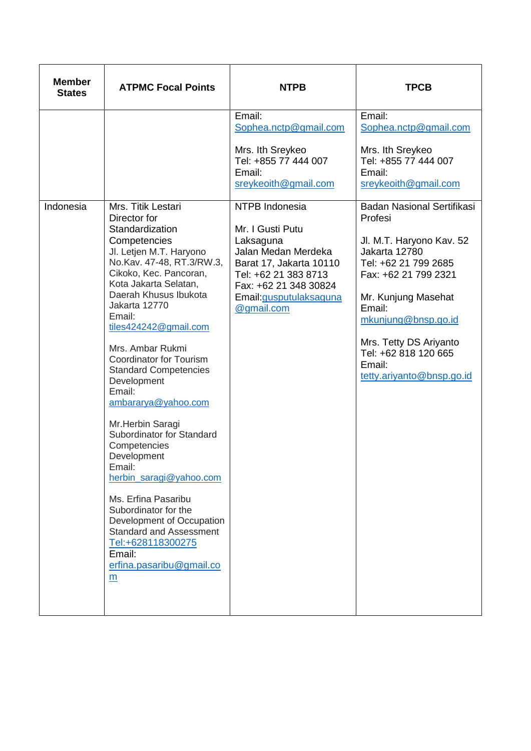| <b>Member</b><br><b>States</b> | <b>ATPMC Focal Points</b>                                                                                                                                                                                                                                                                                                                                                                                                                                                                                                                                                                                                                                                 | <b>NTPB</b>                                                                                                                                                               | <b>TPCB</b>                                                                                                                                                                                                                                           |
|--------------------------------|---------------------------------------------------------------------------------------------------------------------------------------------------------------------------------------------------------------------------------------------------------------------------------------------------------------------------------------------------------------------------------------------------------------------------------------------------------------------------------------------------------------------------------------------------------------------------------------------------------------------------------------------------------------------------|---------------------------------------------------------------------------------------------------------------------------------------------------------------------------|-------------------------------------------------------------------------------------------------------------------------------------------------------------------------------------------------------------------------------------------------------|
| Indonesia                      | Mrs. Titik Lestari                                                                                                                                                                                                                                                                                                                                                                                                                                                                                                                                                                                                                                                        | Email:<br>Sophea.nctp@gmail.com<br>Mrs. Ith Sreykeo<br>Tel: +855 77 444 007<br>Email:<br>sreykeoith@gmail.com<br>NTPB Indonesia                                           | Email:<br>Sophea.nctp@gmail.com<br>Mrs. Ith Sreykeo<br>Tel: +855 77 444 007<br>Email:<br>sreykeoith@gmail.com<br><b>Badan Nasional Sertifikasi</b>                                                                                                    |
|                                | Director for<br>Standardization<br>Competencies<br>Jl. Letjen M.T. Haryono<br>No.Kav. 47-48, RT.3/RW.3,<br>Cikoko, Kec. Pancoran,<br>Kota Jakarta Selatan,<br>Daerah Khusus Ibukota<br>Jakarta 12770<br>Email:<br>tiles424242@gmail.com<br>Mrs. Ambar Rukmi<br>Coordinator for Tourism<br><b>Standard Competencies</b><br>Development<br>Email:<br>ambararya@yahoo.com<br>Mr.Herbin Saragi<br>Subordinator for Standard<br>Competencies<br>Development<br>Email:<br>herbin saragi@yahoo.com<br>Ms. Erfina Pasaribu<br>Subordinator for the<br>Development of Occupation<br><b>Standard and Assessment</b><br>Tel:+628118300275<br>Email:<br>erfina.pasaribu@gmail.co<br>m | Mr. I Gusti Putu<br>Laksaguna<br>Jalan Medan Merdeka<br>Barat 17, Jakarta 10110<br>Tel: +62 21 383 8713<br>Fax: +62 21 348 30824<br>Email: gusputulaksaguna<br>@gmail.com | Profesi<br>Jl. M.T. Haryono Kav. 52<br>Jakarta 12780<br>Tel: +62 21 799 2685<br>Fax: +62 21 799 2321<br>Mr. Kunjung Masehat<br>Email:<br>mkunjung@bnsp.go.id<br>Mrs. Tetty DS Ariyanto<br>Tel: +62 818 120 665<br>Email:<br>tetty.ariyanto@bnsp.go.id |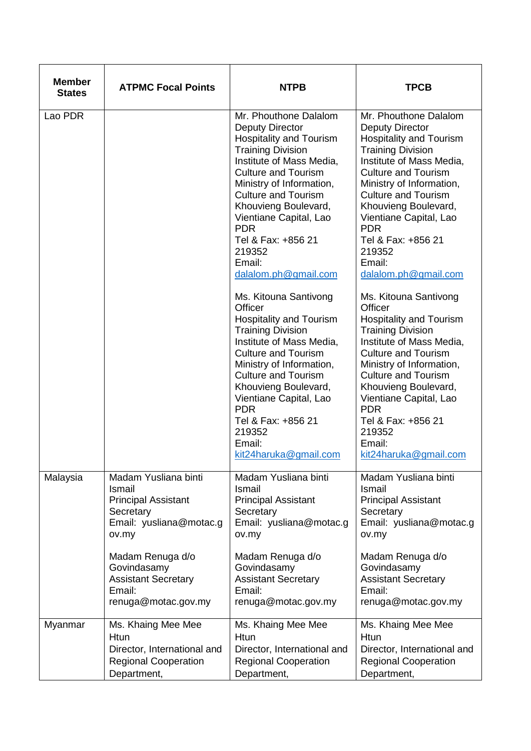| <b>Member</b><br><b>States</b> | <b>ATPMC Focal Points</b>   | <b>NTPB</b>                                                                                                                                                                                                                                                                                                                                                                                                                                                                                                                                                                                                                                                                                                                  | <b>TPCB</b>                                                                                                                                                                                                                                                                                                                                                                                                                                                                                                                                                                                                                                                                                                                  |
|--------------------------------|-----------------------------|------------------------------------------------------------------------------------------------------------------------------------------------------------------------------------------------------------------------------------------------------------------------------------------------------------------------------------------------------------------------------------------------------------------------------------------------------------------------------------------------------------------------------------------------------------------------------------------------------------------------------------------------------------------------------------------------------------------------------|------------------------------------------------------------------------------------------------------------------------------------------------------------------------------------------------------------------------------------------------------------------------------------------------------------------------------------------------------------------------------------------------------------------------------------------------------------------------------------------------------------------------------------------------------------------------------------------------------------------------------------------------------------------------------------------------------------------------------|
| Lao PDR                        |                             | Mr. Phouthone Dalalom<br><b>Deputy Director</b><br><b>Hospitality and Tourism</b><br><b>Training Division</b><br>Institute of Mass Media,<br><b>Culture and Tourism</b><br>Ministry of Information,<br><b>Culture and Tourism</b><br>Khouvieng Boulevard,<br>Vientiane Capital, Lao<br><b>PDR</b><br>Tel & Fax: +856 21<br>219352<br>Email:<br>dalalom.ph@gmail.com<br>Ms. Kitouna Santivong<br>Officer<br><b>Hospitality and Tourism</b><br><b>Training Division</b><br>Institute of Mass Media,<br><b>Culture and Tourism</b><br>Ministry of Information,<br><b>Culture and Tourism</b><br>Khouvieng Boulevard,<br>Vientiane Capital, Lao<br><b>PDR</b><br>Tel & Fax: +856 21<br>219352<br>Email:<br>kit24haruka@gmail.com | Mr. Phouthone Dalalom<br><b>Deputy Director</b><br><b>Hospitality and Tourism</b><br><b>Training Division</b><br>Institute of Mass Media,<br><b>Culture and Tourism</b><br>Ministry of Information,<br><b>Culture and Tourism</b><br>Khouvieng Boulevard,<br>Vientiane Capital, Lao<br><b>PDR</b><br>Tel & Fax: +856 21<br>219352<br>Email:<br>dalalom.ph@gmail.com<br>Ms. Kitouna Santivong<br>Officer<br><b>Hospitality and Tourism</b><br><b>Training Division</b><br>Institute of Mass Media,<br><b>Culture and Tourism</b><br>Ministry of Information,<br><b>Culture and Tourism</b><br>Khouvieng Boulevard,<br>Vientiane Capital, Lao<br><b>PDR</b><br>Tel & Fax: +856 21<br>219352<br>Email:<br>kit24haruka@gmail.com |
| Malaysia                       | Madam Yusliana binti        | Madam Yusliana binti                                                                                                                                                                                                                                                                                                                                                                                                                                                                                                                                                                                                                                                                                                         | Madam Yusliana binti                                                                                                                                                                                                                                                                                                                                                                                                                                                                                                                                                                                                                                                                                                         |
|                                | Ismail                      | Ismail                                                                                                                                                                                                                                                                                                                                                                                                                                                                                                                                                                                                                                                                                                                       | Ismail                                                                                                                                                                                                                                                                                                                                                                                                                                                                                                                                                                                                                                                                                                                       |
|                                | <b>Principal Assistant</b>  | <b>Principal Assistant</b>                                                                                                                                                                                                                                                                                                                                                                                                                                                                                                                                                                                                                                                                                                   | <b>Principal Assistant</b>                                                                                                                                                                                                                                                                                                                                                                                                                                                                                                                                                                                                                                                                                                   |
|                                | Secretary                   | Secretary                                                                                                                                                                                                                                                                                                                                                                                                                                                                                                                                                                                                                                                                                                                    | Secretary                                                                                                                                                                                                                                                                                                                                                                                                                                                                                                                                                                                                                                                                                                                    |
|                                | Email: yusliana@motac.g     | Email: yusliana@motac.g                                                                                                                                                                                                                                                                                                                                                                                                                                                                                                                                                                                                                                                                                                      | Email: yusliana@motac.g                                                                                                                                                                                                                                                                                                                                                                                                                                                                                                                                                                                                                                                                                                      |
|                                | ov.my                       | ov.my                                                                                                                                                                                                                                                                                                                                                                                                                                                                                                                                                                                                                                                                                                                        | ov.my                                                                                                                                                                                                                                                                                                                                                                                                                                                                                                                                                                                                                                                                                                                        |
|                                | Madam Renuga d/o            | Madam Renuga d/o                                                                                                                                                                                                                                                                                                                                                                                                                                                                                                                                                                                                                                                                                                             | Madam Renuga d/o                                                                                                                                                                                                                                                                                                                                                                                                                                                                                                                                                                                                                                                                                                             |
|                                | Govindasamy                 | Govindasamy                                                                                                                                                                                                                                                                                                                                                                                                                                                                                                                                                                                                                                                                                                                  | Govindasamy                                                                                                                                                                                                                                                                                                                                                                                                                                                                                                                                                                                                                                                                                                                  |
|                                | <b>Assistant Secretary</b>  | <b>Assistant Secretary</b>                                                                                                                                                                                                                                                                                                                                                                                                                                                                                                                                                                                                                                                                                                   | <b>Assistant Secretary</b>                                                                                                                                                                                                                                                                                                                                                                                                                                                                                                                                                                                                                                                                                                   |
|                                | Email:                      | Email:                                                                                                                                                                                                                                                                                                                                                                                                                                                                                                                                                                                                                                                                                                                       | Email:                                                                                                                                                                                                                                                                                                                                                                                                                                                                                                                                                                                                                                                                                                                       |
|                                | renuga@motac.gov.my         | renuga@motac.gov.my                                                                                                                                                                                                                                                                                                                                                                                                                                                                                                                                                                                                                                                                                                          | renuga@motac.gov.my                                                                                                                                                                                                                                                                                                                                                                                                                                                                                                                                                                                                                                                                                                          |
| Myanmar                        | Ms. Khaing Mee Mee          | Ms. Khaing Mee Mee                                                                                                                                                                                                                                                                                                                                                                                                                                                                                                                                                                                                                                                                                                           | Ms. Khaing Mee Mee                                                                                                                                                                                                                                                                                                                                                                                                                                                                                                                                                                                                                                                                                                           |
|                                | <b>Htun</b>                 | <b>Htun</b>                                                                                                                                                                                                                                                                                                                                                                                                                                                                                                                                                                                                                                                                                                                  | <b>Htun</b>                                                                                                                                                                                                                                                                                                                                                                                                                                                                                                                                                                                                                                                                                                                  |
|                                | Director, International and | Director, International and                                                                                                                                                                                                                                                                                                                                                                                                                                                                                                                                                                                                                                                                                                  | Director, International and                                                                                                                                                                                                                                                                                                                                                                                                                                                                                                                                                                                                                                                                                                  |
|                                | <b>Regional Cooperation</b> | <b>Regional Cooperation</b>                                                                                                                                                                                                                                                                                                                                                                                                                                                                                                                                                                                                                                                                                                  | <b>Regional Cooperation</b>                                                                                                                                                                                                                                                                                                                                                                                                                                                                                                                                                                                                                                                                                                  |
|                                | Department,                 | Department,                                                                                                                                                                                                                                                                                                                                                                                                                                                                                                                                                                                                                                                                                                                  | Department,                                                                                                                                                                                                                                                                                                                                                                                                                                                                                                                                                                                                                                                                                                                  |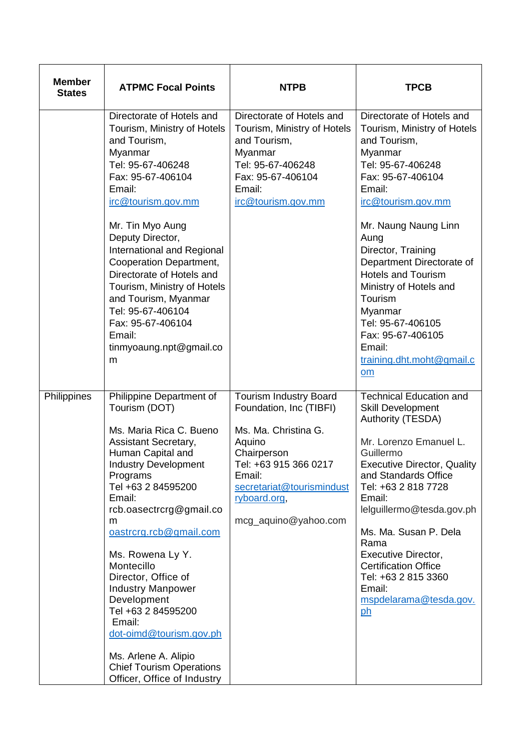| <b>Member</b><br><b>States</b> | <b>ATPMC Focal Points</b>                                                                                                                                                                                                                                                                                                                                                                                                                                                                                       | <b>NTPB</b>                                                                                                                                                                                                       | <b>TPCB</b>                                                                                                                                                                                                                                                                                                                                                                                                          |
|--------------------------------|-----------------------------------------------------------------------------------------------------------------------------------------------------------------------------------------------------------------------------------------------------------------------------------------------------------------------------------------------------------------------------------------------------------------------------------------------------------------------------------------------------------------|-------------------------------------------------------------------------------------------------------------------------------------------------------------------------------------------------------------------|----------------------------------------------------------------------------------------------------------------------------------------------------------------------------------------------------------------------------------------------------------------------------------------------------------------------------------------------------------------------------------------------------------------------|
|                                | Directorate of Hotels and<br>Tourism, Ministry of Hotels<br>and Tourism,<br>Myanmar<br>Tel: 95-67-406248<br>Fax: 95-67-406104<br>Email:<br>irc@tourism.gov.mm<br>Mr. Tin Myo Aung<br>Deputy Director,<br>International and Regional<br>Cooperation Department,<br>Directorate of Hotels and<br>Tourism, Ministry of Hotels<br>and Tourism, Myanmar<br>Tel: 95-67-406104<br>Fax: 95-67-406104<br>Email:<br>tinmyoaung.npt@gmail.co<br>m                                                                          | Directorate of Hotels and<br>Tourism, Ministry of Hotels<br>and Tourism,<br>Myanmar<br>Tel: 95-67-406248<br>Fax: 95-67-406104<br>Email:<br>irc@tourism.gov.mm                                                     | Directorate of Hotels and<br>Tourism, Ministry of Hotels<br>and Tourism,<br>Myanmar<br>Tel: 95-67-406248<br>Fax: 95-67-406104<br>Email:<br>irc@tourism.gov.mm<br>Mr. Naung Naung Linn<br>Aung<br>Director, Training<br>Department Directorate of<br><b>Hotels and Tourism</b><br>Ministry of Hotels and<br>Tourism<br>Myanmar<br>Tel: 95-67-406105<br>Fax: 95-67-406105<br>Email:<br>training.dht.moht@gmail.c<br>om |
| Philippines                    | Philippine Department of<br>Tourism (DOT)<br>Ms. Maria Rica C. Bueno<br>Assistant Secretary,<br>Human Capital and<br><b>Industry Development</b><br>Programs<br>Tel +63 2 84595200<br>Email:<br>rcb.oasectrcrg@gmail.co<br>m<br>oastrcrg.rcb@gmail.com<br>Ms. Rowena Ly Y.<br>Montecillo<br>Director, Office of<br><b>Industry Manpower</b><br>Development<br>Tel +63 2 84595200<br>Email:<br>dot-oimd@tourism.gov.ph<br>Ms. Arlene A. Alipio<br><b>Chief Tourism Operations</b><br>Officer, Office of Industry | <b>Tourism Industry Board</b><br>Foundation, Inc (TIBFI)<br>Ms. Ma. Christina G.<br>Aquino<br>Chairperson<br>Tel: +63 915 366 0217<br>Email:<br>secretariat@tourismindust<br>ryboard.org,<br>mcg_aquino@yahoo.com | <b>Technical Education and</b><br>Skill Development<br>Authority (TESDA)<br>Mr. Lorenzo Emanuel L.<br>Guillermo<br><b>Executive Director, Quality</b><br>and Standards Office<br>Tel: +63 2 818 7728<br>Email:<br>lelguillermo@tesda.gov.ph<br>Ms. Ma. Susan P. Dela<br>Rama<br><b>Executive Director,</b><br><b>Certification Office</b><br>Tel: +63 2 815 3360<br>Email:<br>mspdelarama@tesda.gov.<br><u>ph</u>    |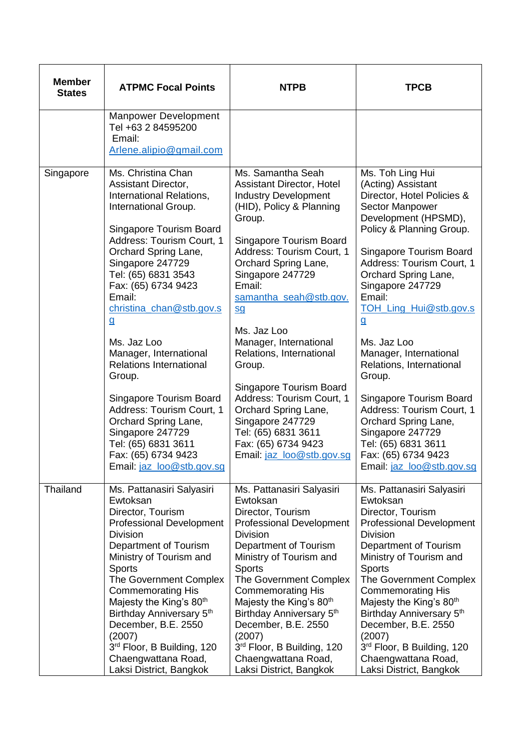| <b>Member</b><br><b>States</b> | <b>ATPMC Focal Points</b>                                                                                                                                                                                                                                                                                                                                                                                                                                                                                                                                                          | <b>NTPB</b>                                                                                                                                                                                                                                                                                                                                                                                                                                                                                                                                                        | <b>TPCB</b>                                                                                                                                                                                                                                                                                                                                                                                                                                                                                                                                                                |
|--------------------------------|------------------------------------------------------------------------------------------------------------------------------------------------------------------------------------------------------------------------------------------------------------------------------------------------------------------------------------------------------------------------------------------------------------------------------------------------------------------------------------------------------------------------------------------------------------------------------------|--------------------------------------------------------------------------------------------------------------------------------------------------------------------------------------------------------------------------------------------------------------------------------------------------------------------------------------------------------------------------------------------------------------------------------------------------------------------------------------------------------------------------------------------------------------------|----------------------------------------------------------------------------------------------------------------------------------------------------------------------------------------------------------------------------------------------------------------------------------------------------------------------------------------------------------------------------------------------------------------------------------------------------------------------------------------------------------------------------------------------------------------------------|
|                                | <b>Manpower Development</b><br>Tel +63 2 84595200<br>Email:<br>Arlene.alipio@gmail.com                                                                                                                                                                                                                                                                                                                                                                                                                                                                                             |                                                                                                                                                                                                                                                                                                                                                                                                                                                                                                                                                                    |                                                                                                                                                                                                                                                                                                                                                                                                                                                                                                                                                                            |
| Singapore                      | Ms. Christina Chan<br><b>Assistant Director,</b><br>International Relations,<br>International Group.<br>Singapore Tourism Board<br>Address: Tourism Court, 1<br>Orchard Spring Lane,<br>Singapore 247729<br>Tel: (65) 6831 3543<br>Fax: (65) 6734 9423<br>Email:<br>christina_chan@stb.gov.s<br>$\overline{a}$<br>Ms. Jaz Loo<br>Manager, International<br><b>Relations International</b><br>Group.<br>Singapore Tourism Board<br>Address: Tourism Court, 1<br>Orchard Spring Lane,<br>Singapore 247729<br>Tel: (65) 6831 3611<br>Fax: (65) 6734 9423<br>Email: jaz_loo@stb.gov.sg | Ms. Samantha Seah<br>Assistant Director, Hotel<br><b>Industry Development</b><br>(HID), Policy & Planning<br>Group.<br>Singapore Tourism Board<br>Address: Tourism Court, 1<br>Orchard Spring Lane,<br>Singapore 247729<br>Email:<br>samantha_seah@stb.gov.<br>$\underline{\underline{\mathsf{sq}}}$<br>Ms. Jaz Loo<br>Manager, International<br>Relations, International<br>Group.<br>Singapore Tourism Board<br>Address: Tourism Court, 1<br>Orchard Spring Lane,<br>Singapore 247729<br>Tel: (65) 6831 3611<br>Fax: (65) 6734 9423<br>Email: jaz_loo@stb.gov.sg | Ms. Toh Ling Hui<br>(Acting) Assistant<br>Director, Hotel Policies &<br><b>Sector Manpower</b><br>Development (HPSMD),<br>Policy & Planning Group.<br>Singapore Tourism Board<br>Address: Tourism Court, 1<br>Orchard Spring Lane,<br>Singapore 247729<br>Email:<br>TOH_Ling_Hui@stb.gov.s<br>$\overline{a}$<br>Ms. Jaz Loo<br>Manager, International<br>Relations, International<br>Group.<br>Singapore Tourism Board<br>Address: Tourism Court, 1<br>Orchard Spring Lane,<br>Singapore 247729<br>Tel: (65) 6831 3611<br>Fax: (65) 6734 9423<br>Email: jaz_loo@stb.gov.sg |
| Thailand                       | Ms. Pattanasiri Salyasiri<br>Ewtoksan<br>Director, Tourism<br><b>Professional Development</b><br><b>Division</b><br>Department of Tourism<br>Ministry of Tourism and<br><b>Sports</b><br>The Government Complex<br><b>Commemorating His</b><br>Majesty the King's 80 <sup>th</sup><br>Birthday Anniversary 5 <sup>th</sup><br>December, B.E. 2550<br>(2007)<br>3 <sup>rd</sup> Floor, B Building, 120<br>Chaengwattana Road,<br>Laksi District, Bangkok                                                                                                                            | Ms. Pattanasiri Salyasiri<br>Ewtoksan<br>Director, Tourism<br><b>Professional Development</b><br><b>Division</b><br>Department of Tourism<br>Ministry of Tourism and<br><b>Sports</b><br>The Government Complex<br><b>Commemorating His</b><br>Majesty the King's 80th<br>Birthday Anniversary 5 <sup>th</sup><br>December, B.E. 2550<br>(2007)<br>3 <sup>rd</sup> Floor, B Building, 120<br>Chaengwattana Road,<br>Laksi District, Bangkok                                                                                                                        | Ms. Pattanasiri Salyasiri<br>Ewtoksan<br>Director, Tourism<br><b>Professional Development</b><br><b>Division</b><br>Department of Tourism<br>Ministry of Tourism and<br><b>Sports</b><br>The Government Complex<br><b>Commemorating His</b><br>Majesty the King's 80 <sup>th</sup><br>Birthday Anniversary 5 <sup>th</sup><br>December, B.E. 2550<br>(2007)<br>3 <sup>rd</sup> Floor, B Building, 120<br>Chaengwattana Road,<br>Laksi District, Bangkok                                                                                                                    |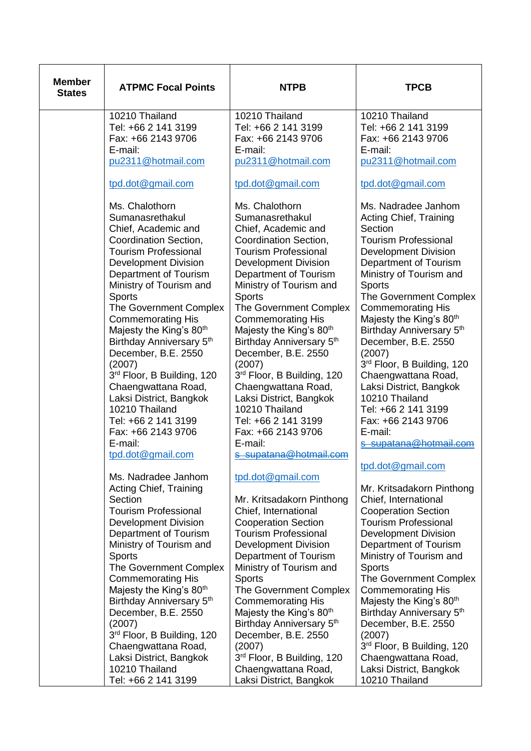| <b>Member</b><br><b>States</b> | <b>ATPMC Focal Points</b>                                                                                                                                                                                                                                                                                                                                                                                                                                                                                                                                     | <b>NTPB</b>                                                                                                                                                                                                                                                                                                                                                                                                                                                                                                                                                        | <b>TPCB</b>                                                                                                                                                                                                                                                                                                                                                                                                                                                                                                                                                  |
|--------------------------------|---------------------------------------------------------------------------------------------------------------------------------------------------------------------------------------------------------------------------------------------------------------------------------------------------------------------------------------------------------------------------------------------------------------------------------------------------------------------------------------------------------------------------------------------------------------|--------------------------------------------------------------------------------------------------------------------------------------------------------------------------------------------------------------------------------------------------------------------------------------------------------------------------------------------------------------------------------------------------------------------------------------------------------------------------------------------------------------------------------------------------------------------|--------------------------------------------------------------------------------------------------------------------------------------------------------------------------------------------------------------------------------------------------------------------------------------------------------------------------------------------------------------------------------------------------------------------------------------------------------------------------------------------------------------------------------------------------------------|
|                                | 10210 Thailand<br>Tel: +66 2 141 3199<br>Fax: +66 2143 9706<br>E-mail:<br>pu2311@hotmail.com                                                                                                                                                                                                                                                                                                                                                                                                                                                                  | 10210 Thailand<br>Tel: +66 2 141 3199<br>Fax: +66 2143 9706<br>E-mail:<br>pu2311@hotmail.com                                                                                                                                                                                                                                                                                                                                                                                                                                                                       | 10210 Thailand<br>Tel: +66 2 141 3199<br>Fax: +66 2143 9706<br>E-mail:<br>pu2311@hotmail.com                                                                                                                                                                                                                                                                                                                                                                                                                                                                 |
|                                | tpd.dot@gmail.com                                                                                                                                                                                                                                                                                                                                                                                                                                                                                                                                             | tpd.dot@gmail.com                                                                                                                                                                                                                                                                                                                                                                                                                                                                                                                                                  | tpd.dot@gmail.com                                                                                                                                                                                                                                                                                                                                                                                                                                                                                                                                            |
|                                | Ms. Chalothorn<br>Sumanasrethakul<br>Chief, Academic and<br>Coordination Section,<br><b>Tourism Professional</b><br><b>Development Division</b><br>Department of Tourism<br>Ministry of Tourism and<br><b>Sports</b><br>The Government Complex<br><b>Commemorating His</b><br>Majesty the King's 80 <sup>th</sup><br>Birthday Anniversary 5th<br>December, B.E. 2550<br>(2007)<br>3rd Floor, B Building, 120<br>Chaengwattana Road,<br>Laksi District, Bangkok<br>10210 Thailand<br>Tel: +66 2 141 3199<br>Fax: +66 2143 9706<br>E-mail:<br>tpd.dot@gmail.com | Ms. Chalothorn<br>Sumanasrethakul<br>Chief, Academic and<br>Coordination Section,<br><b>Tourism Professional</b><br><b>Development Division</b><br>Department of Tourism<br>Ministry of Tourism and<br><b>Sports</b><br>The Government Complex<br><b>Commemorating His</b><br>Majesty the King's 80 <sup>th</sup><br>Birthday Anniversary 5th<br>December, B.E. 2550<br>(2007)<br>3rd Floor, B Building, 120<br>Chaengwattana Road,<br>Laksi District, Bangkok<br>10210 Thailand<br>Tel: +66 2 141 3199<br>Fax: +66 2143 9706<br>E-mail:<br>s supatana@hotmail.com | Ms. Nadradee Janhom<br><b>Acting Chief, Training</b><br>Section<br><b>Tourism Professional</b><br><b>Development Division</b><br>Department of Tourism<br>Ministry of Tourism and<br><b>Sports</b><br>The Government Complex<br><b>Commemorating His</b><br>Majesty the King's 80 <sup>th</sup><br>Birthday Anniversary 5 <sup>th</sup><br>December, B.E. 2550<br>(2007)<br>3rd Floor, B Building, 120<br>Chaengwattana Road,<br>Laksi District, Bangkok<br>10210 Thailand<br>Tel: +66 2 141 3199<br>Fax: +66 2143 9706<br>E-mail:<br>s supatana@hotmail.com |
|                                | Ms. Nadradee Janhom<br>Acting Chief, Training<br>Section<br><b>Tourism Professional</b><br><b>Development Division</b><br>Department of Tourism<br>Ministry of Tourism and<br><b>Sports</b><br>The Government Complex<br><b>Commemorating His</b><br>Majesty the King's 80 <sup>th</sup><br>Birthday Anniversary 5th<br>December, B.E. 2550<br>(2007)<br>3rd Floor, B Building, 120<br>Chaengwattana Road,<br>Laksi District, Bangkok<br>10210 Thailand<br>Tel: +66 2 141 3199                                                                                | tpd.dot@gmail.com<br>Mr. Kritsadakorn Pinthong<br>Chief, International<br><b>Cooperation Section</b><br><b>Tourism Professional</b><br><b>Development Division</b><br>Department of Tourism<br>Ministry of Tourism and<br><b>Sports</b><br><b>The Government Complex</b><br><b>Commemorating His</b><br>Majesty the King's 80 <sup>th</sup><br>Birthday Anniversary 5th<br>December, B.E. 2550<br>(2007)<br>3rd Floor, B Building, 120<br>Chaengwattana Road,<br>Laksi District, Bangkok                                                                           | tpd.dot@gmail.com<br>Mr. Kritsadakorn Pinthong<br>Chief, International<br><b>Cooperation Section</b><br><b>Tourism Professional</b><br><b>Development Division</b><br>Department of Tourism<br>Ministry of Tourism and<br><b>Sports</b><br>The Government Complex<br><b>Commemorating His</b><br>Majesty the King's 80 <sup>th</sup><br>Birthday Anniversary 5th<br>December, B.E. 2550<br>(2007)<br>3rd Floor, B Building, 120<br>Chaengwattana Road,<br>Laksi District, Bangkok<br>10210 Thailand                                                          |